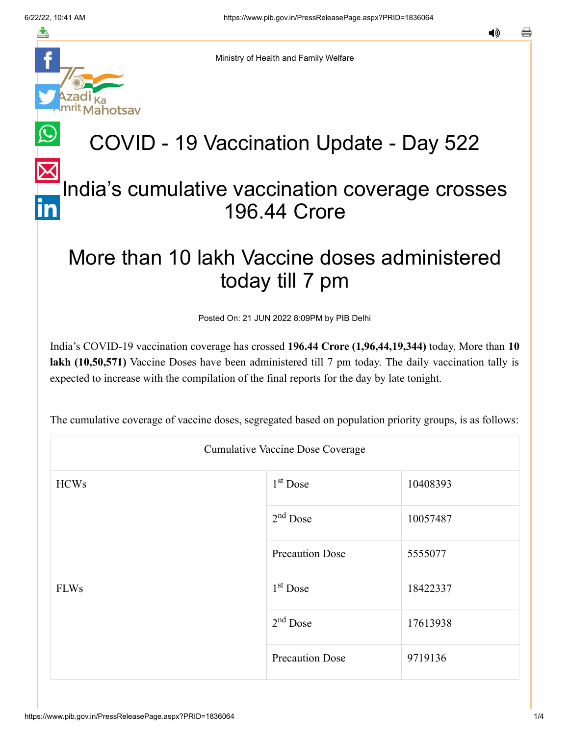notsav

≛

Ministry of Health and Family Welfare

# COVID - 19 Vaccination Update - Day 522

### [In](https://www.linkedin.com/shareArticle?mini=true&url=https://pib.gov.in/PressReleasePage.aspx?PRID=1836064&title=COVID%20-%2019%20Vaccination%20Update%20-%20Day%20522&summary=My%20favorite%20developer%20program&source=LinkedIn)dia's cumulative vaccination coverage crosses 196.44 Crore

## More than 10 lakh Vaccine doses administered today till 7 pm

Posted On: 21 JUN 2022 8:09PM by PIB Delhi

India's COVID-19 vaccination coverage has crossed **196.44 Crore (1,96,44,19,344)** today. More than **10 lakh (10,50,571)** Vaccine Doses have been administered till 7 pm today. The daily vaccination tally is expected to increase with the compilation of the final reports for the day by late tonight.

The cumulative coverage of vaccine doses, segregated based on population priority groups, is as follows:

| <b>Cumulative Vaccine Dose Coverage</b> |                        |          |  |  |
|-----------------------------------------|------------------------|----------|--|--|
| <b>HCWs</b>                             | $1st$ Dose             | 10408393 |  |  |
|                                         | $2nd$ Dose             | 10057487 |  |  |
|                                         | <b>Precaution Dose</b> | 5555077  |  |  |
| <b>FLWs</b>                             | $1st$ Dose             | 18422337 |  |  |
|                                         | $2nd$ Dose             | 17613938 |  |  |
|                                         | <b>Precaution Dose</b> | 9719136  |  |  |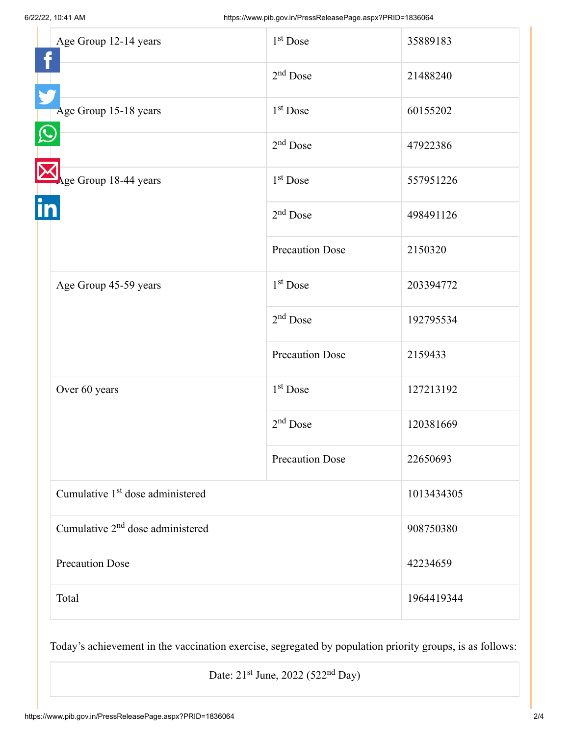| Age Group 12-14 years                        | $1st$ Dose             | 35889183   |
|----------------------------------------------|------------------------|------------|
|                                              | $2nd$ Dose             | 21488240   |
| Age Group 15-18 years                        | $1st$ Dose             | 60155202   |
|                                              | $2nd$ Dose             | 47922386   |
| Age Group 18-44 years                        | $1st$ Dose             | 557951226  |
|                                              | $2nd$ Dose             | 498491126  |
|                                              | <b>Precaution Dose</b> | 2150320    |
| Age Group 45-59 years                        | $1st$ Dose             | 203394772  |
|                                              | $2nd$ Dose             | 192795534  |
|                                              | <b>Precaution Dose</b> | 2159433    |
| Over 60 years                                | $1st$ Dose             | 127213192  |
|                                              | $2nd$ Dose             | 120381669  |
|                                              | <b>Precaution Dose</b> | 22650693   |
| Cumulative 1 <sup>st</sup> dose administered |                        | 1013434305 |
| Cumulative 2 <sup>nd</sup> dose administered |                        | 908750380  |
| <b>Precaution Dose</b>                       |                        | 42234659   |
| Total                                        |                        | 1964419344 |

Today's achievement in the vaccination exercise, segregated by population priority groups, is as follows:

Date:  $21<sup>st</sup>$  June,  $2022$  (522<sup>nd</sup> Day)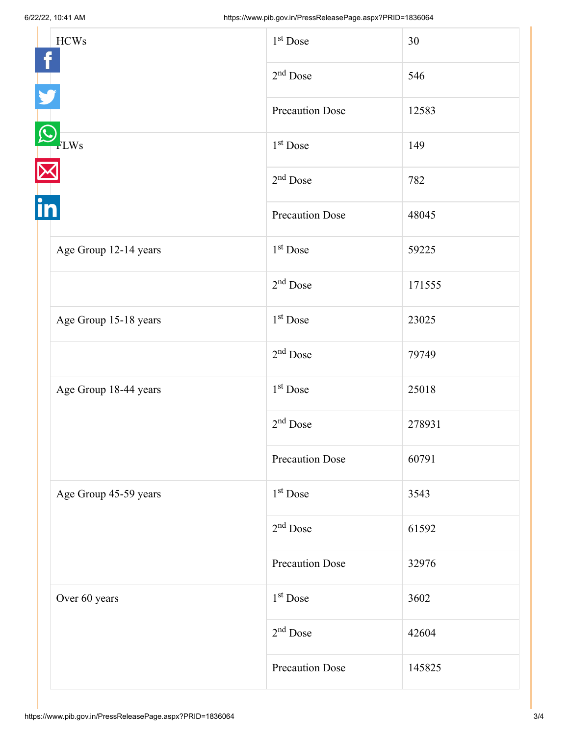|    | <b>HCWs</b>           | $1st$ Dose             | 30     |
|----|-----------------------|------------------------|--------|
|    |                       | $2nd$ Dose             | 546    |
|    |                       | <b>Precaution Dose</b> | 12583  |
| in | FLWs                  | 1 <sup>st</sup> Dose   | 149    |
|    |                       | $2nd$ Dose             | 782    |
|    |                       | <b>Precaution Dose</b> | 48045  |
|    | Age Group 12-14 years | $1st$ Dose             | 59225  |
|    |                       | $2nd$ Dose             | 171555 |
|    | Age Group 15-18 years | 1 <sup>st</sup> Dose   | 23025  |
|    |                       | $2nd$ Dose             | 79749  |
|    | Age Group 18-44 years | $1st$ Dose             | 25018  |
|    |                       | $2nd$ Dose             | 278931 |
|    |                       | <b>Precaution Dose</b> | 60791  |
|    | Age Group 45-59 years | $1st$ Dose             | 3543   |
|    |                       | $2nd$ Dose             | 61592  |
|    |                       | Precaution Dose        | 32976  |
|    | Over 60 years         | $1st$ Dose             | 3602   |
|    |                       | $2nd$ Dose             | 42604  |
|    |                       | <b>Precaution Dose</b> | 145825 |